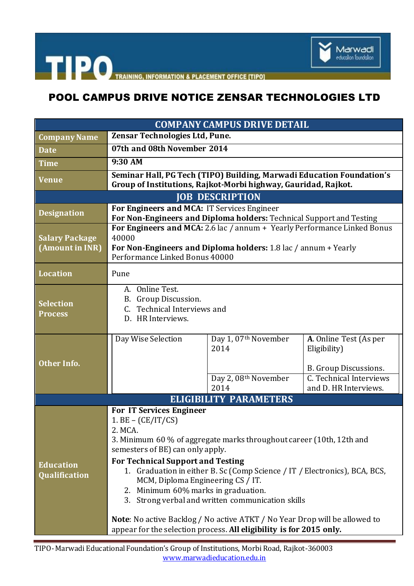

THE PO TRAINING, INFORMATION & PLACEMENT OFFICE [TIPO]

## POOL CAMPUS DRIVE NOTICE ZENSAR TECHNOLOGIES LTD

| <b>COMPANY CAMPUS DRIVE DETAIL</b>       |                                                                                                                                                                                                                                                                                                                                                                                                                                                                                                                                                                                                       |                                                              |                                                                                                                     |  |
|------------------------------------------|-------------------------------------------------------------------------------------------------------------------------------------------------------------------------------------------------------------------------------------------------------------------------------------------------------------------------------------------------------------------------------------------------------------------------------------------------------------------------------------------------------------------------------------------------------------------------------------------------------|--------------------------------------------------------------|---------------------------------------------------------------------------------------------------------------------|--|
| <b>Company Name</b>                      | Zensar Technologies Ltd, Pune.                                                                                                                                                                                                                                                                                                                                                                                                                                                                                                                                                                        |                                                              |                                                                                                                     |  |
| <b>Date</b>                              | 07th and 08th November 2014                                                                                                                                                                                                                                                                                                                                                                                                                                                                                                                                                                           |                                                              |                                                                                                                     |  |
| <b>Time</b>                              | 9:30 AM                                                                                                                                                                                                                                                                                                                                                                                                                                                                                                                                                                                               |                                                              |                                                                                                                     |  |
| Venue                                    | Seminar Hall, PG Tech (TIPO) Building, Marwadi Education Foundation's<br>Group of Institutions, Rajkot-Morbi highway, Gauridad, Rajkot.                                                                                                                                                                                                                                                                                                                                                                                                                                                               |                                                              |                                                                                                                     |  |
| <b>JOB DESCRIPTION</b>                   |                                                                                                                                                                                                                                                                                                                                                                                                                                                                                                                                                                                                       |                                                              |                                                                                                                     |  |
| <b>Designation</b>                       | For Engineers and MCA: IT Services Engineer<br>For Non-Engineers and Diploma holders: Technical Support and Testing                                                                                                                                                                                                                                                                                                                                                                                                                                                                                   |                                                              |                                                                                                                     |  |
| <b>Salary Package</b><br>(Amount in INR) | For Engineers and MCA: 2.6 lac / annum + Yearly Performance Linked Bonus<br>40000<br>For Non-Engineers and Diploma holders: 1.8 lac / annum + Yearly<br>Performance Linked Bonus 40000                                                                                                                                                                                                                                                                                                                                                                                                                |                                                              |                                                                                                                     |  |
| <b>Location</b>                          | Pune                                                                                                                                                                                                                                                                                                                                                                                                                                                                                                                                                                                                  |                                                              |                                                                                                                     |  |
| <b>Selection</b><br><b>Process</b>       | A. Online Test.<br>B. Group Discussion.<br>C. Technical Interviews and<br>D. HR Interviews.                                                                                                                                                                                                                                                                                                                                                                                                                                                                                                           |                                                              |                                                                                                                     |  |
| <b>Other Info.</b>                       | Day Wise Selection                                                                                                                                                                                                                                                                                                                                                                                                                                                                                                                                                                                    | Day 1, 07th November<br>2014<br>Day 2, 08th November<br>2014 | A. Online Test (As per<br>Eligibility)<br>B. Group Discussions.<br>C. Technical Interviews<br>and D. HR Interviews. |  |
| <b>ELIGIBILITY PARAMETERS</b>            |                                                                                                                                                                                                                                                                                                                                                                                                                                                                                                                                                                                                       |                                                              |                                                                                                                     |  |
| <b>Education</b><br><b>Qualification</b> | <b>For IT Services Engineer</b><br>$1. BE - (CE/IT/CS)$<br>2. MCA.<br>3. Minimum 60 % of aggregate marks throughout career (10th, 12th and<br>semesters of BE) can only apply.<br><b>For Technical Support and Testing</b><br>1. Graduation in either B. Sc (Comp Science / IT / Electronics), BCA, BCS,<br>MCM, Diploma Engineering CS / IT.<br>2. Minimum 60% marks in graduation.<br>3. Strong verbal and written communication skills<br><b>Note:</b> No active Backlog / No active ATKT / No Year Drop will be allowed to<br>appear for the selection process. All eligibility is for 2015 only. |                                                              |                                                                                                                     |  |